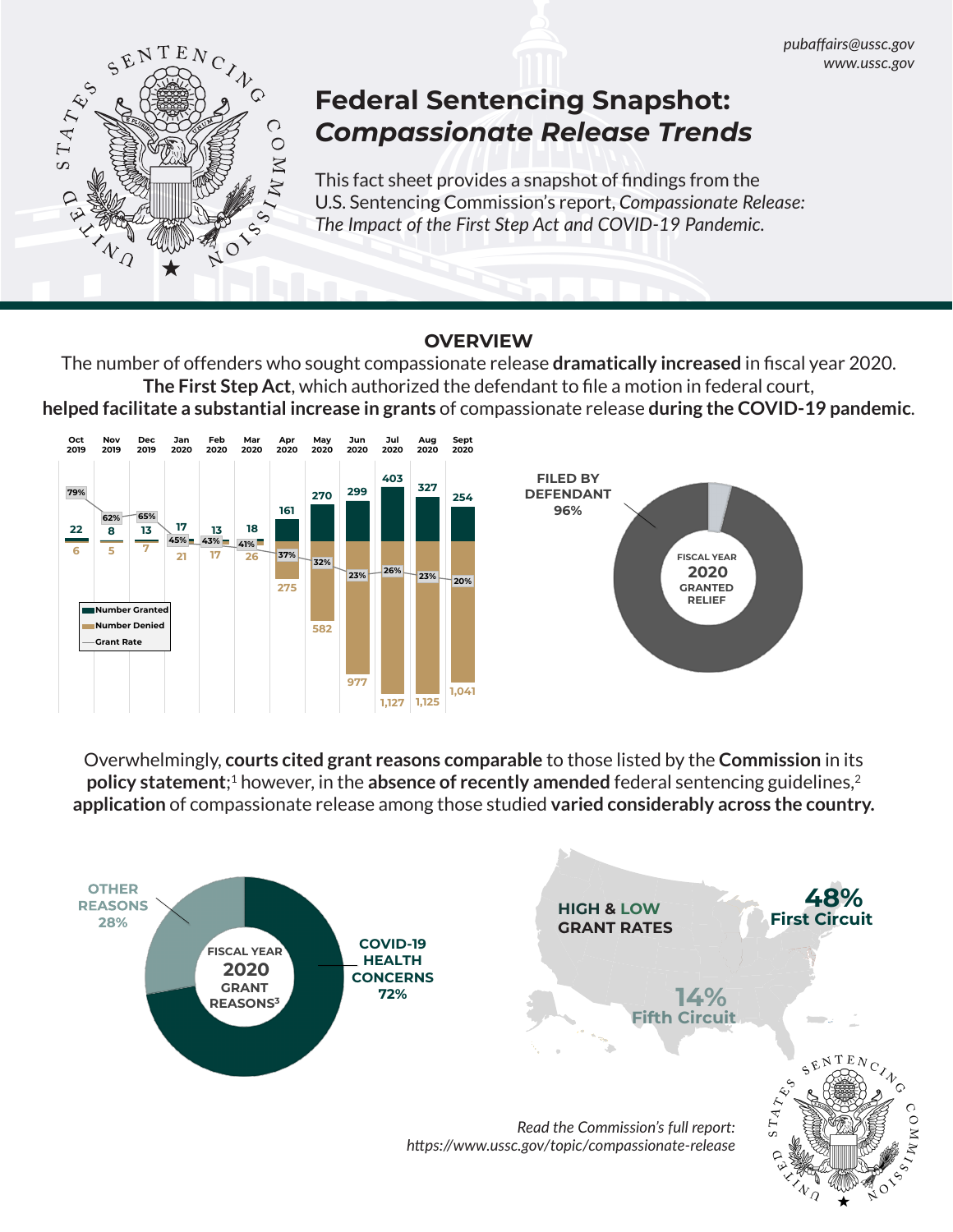

# **Federal Sentencing Snapshot:** *Compassionate Release Trends*

This fact sheet provides a snapshot of findings from the U.S. Sentencing Commission's report, *Compassionate Release: The Impact of the First Step Act and COVID-19 Pandemic.*

## **OVERVIEW**

The number of offenders who sought compassionate release **dramatically increased** in fiscal year 2020. **The First Step Act**, which authorized the defendant to file a motion in federal court, **helped facilitate a substantial increase in grants** of compassionate release **during the COVID-19 pandemic**.





Overwhelmingly, **courts cited grant reasons comparable** to those listed by the **Commission** in its **policy statement**;<sup>1</sup> however, in the **absence of recently amended** federal sentencing guidelines,<sup>2</sup> **application** of compassionate release among those studied **varied considerably across the country.**